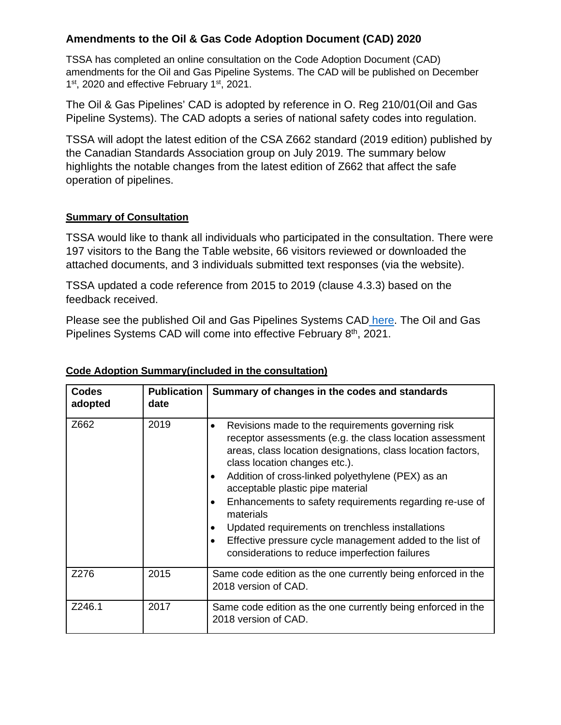# **Amendments to the Oil & Gas Code Adoption Document (CAD) 2020**

TSSA has completed an online consultation on the Code Adoption Document (CAD) amendments for the Oil and Gas Pipeline Systems. The CAD will be published on December 1<sup>st</sup>, 2020 and effective February 1<sup>st</sup>, 2021.

The Oil & Gas Pipelines' CAD is adopted by reference in O. Reg 210/01(Oil and Gas Pipeline Systems). The CAD adopts a series of national safety codes into regulation.

TSSA will adopt the latest edition of the CSA Z662 standard (2019 edition) published by the Canadian Standards Association group on July 2019. The summary below highlights the notable changes from the latest edition of Z662 that affect the safe operation of pipelines.

#### **Summary of Consultation**

TSSA would like to thank all individuals who participated in the consultation. There were 197 visitors to the Bang the Table website, 66 visitors reviewed or downloaded the attached documents, and 3 individuals submitted text responses (via the website).

TSSA updated a code reference from 2015 to 2019 (clause 4.3.3) based on the feedback received.

Please see the published Oil and Gas Pipelines Systems CAD [here.](https://www.tssa.org/en/fuels/legislation-and-regulatory-information.aspx) The Oil and Gas Pipelines Systems CAD will come into effective February 8<sup>th</sup>, 2021.

| <b>Codes</b><br>adopted | <b>Publication</b><br>date | Summary of changes in the codes and standards                                                                                                                                                                                                                                                                                                                                                                                                                                                                                                                      |
|-------------------------|----------------------------|--------------------------------------------------------------------------------------------------------------------------------------------------------------------------------------------------------------------------------------------------------------------------------------------------------------------------------------------------------------------------------------------------------------------------------------------------------------------------------------------------------------------------------------------------------------------|
| Z662                    | 2019                       | Revisions made to the requirements governing risk<br>$\bullet$<br>receptor assessments (e.g. the class location assessment<br>areas, class location designations, class location factors,<br>class location changes etc.).<br>Addition of cross-linked polyethylene (PEX) as an<br>acceptable plastic pipe material<br>Enhancements to safety requirements regarding re-use of<br>٠<br>materials<br>Updated requirements on trenchless installations<br>Effective pressure cycle management added to the list of<br>considerations to reduce imperfection failures |
| Z276                    | 2015                       | Same code edition as the one currently being enforced in the<br>2018 version of CAD.                                                                                                                                                                                                                                                                                                                                                                                                                                                                               |
| Z246.1                  | 2017                       | Same code edition as the one currently being enforced in the<br>2018 version of CAD.                                                                                                                                                                                                                                                                                                                                                                                                                                                                               |

#### **Code Adoption Summary(included in the consultation)**